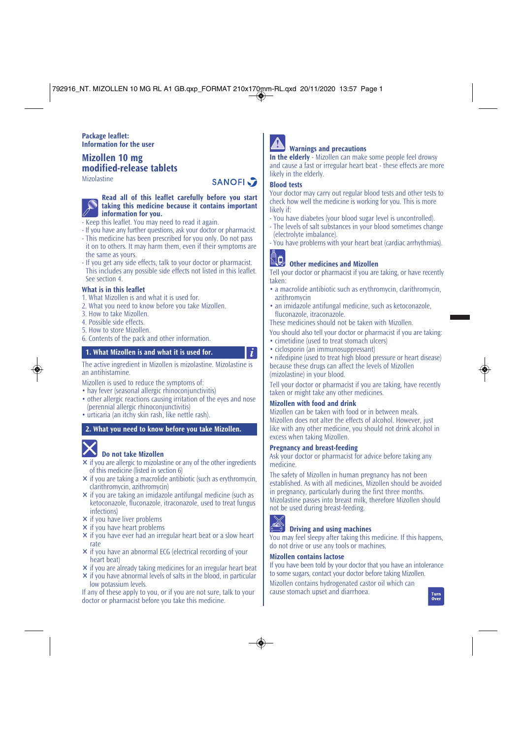#### **Package leaflet: Information for the user**

## **Mizollen 10 mg modified-release tablets**

Mizolastine

# **SANOFI**

#### **Read all of this leaflet carefully before you start taking this medicine because it contains important information for you.**

- Keep this leaflet. You may need to read it again.
- If you have any further questions, ask your doctor or pharmacist.
- This medicine has been prescribed for you only. Do not pass it on to others. It may harm them, even if their symptoms are the same as yours.
- If you get any side effects, talk to your doctor or pharmacist. This includes any possible side effects not listed in this leaflet. See section 4.

#### **What is in this leaflet**

- 1. What Mizollen is and what it is used for.
- 2. What you need to know before you take Mizollen.
- 3. How to take Mizollen.
- 4. Possible side effects.
- 5. How to store Mizollen.
- 6. Contents of the pack and other information.

#### **1. What Mizollen is and what it is used for.**

The active ingredient in Mizollen is mizolastine. Mizolastine is an antihistamine.

Mizollen is used to reduce the symptoms of:

- hay fever (seasonal allergic rhinoconiunctivitis)
- other allergic reactions causing irritation of the eyes and nose (perennial allergic rhinoconjunctivitis)
- urticaria (an itchy skin rash, like nettle rash).

#### **2. What you need to know before you take Mizollen.**

# **Do not take Mizollen**

- $\times$  if you are allergic to mizolastine or any of the other ingredients of this medicine (listed in section 6)
- $\times$  if you are taking a macrolide antibiotic (such as erythromycin, clarithromycin, azithromycin)
- $\times$  if you are taking an imidazole antifungal medicine (such as ketoconazole, fluconazole, itraconazole, used to treat fungus infections)
- $\times$  if you have liver problems
- $\times$  if you have heart problems
- $\times$  if you have ever had an irregular heart beat or a slow heart rate
- $\times$  if you have an abnormal ECG (electrical recording of your heart beat)
- $\times$  if you are already taking medicines for an irregular heart beat
- $\times$  if you have abnormal levels of salts in the blood, in particular low potassium levels.

If any of these apply to you, or if you are not sure, talk to your doctor or pharmacist before you take this medicine.

#### **Warnings and precautions**

**In the elderly** - Mizollen can make some people feel drowsy and cause a fast or irregular heart beat - these effects are more likely in the elderly.

#### **Blood tests**

Your doctor may carry out regular blood tests and other tests to check how well the medicine is working for you. This is more likely if:

- You have diabetes (your blood sugar level is uncontrolled).
- The levels of salt substances in your blood sometimes change (electrolyte imbalance).
- You have problems with your heart beat (cardiac arrhythmias).



 $\boldsymbol{i}$ 

# **Other medicines and Mizollen**

Tell your doctor or pharmacist if you are taking, or have recently taken:

- a macrolide antibiotic such as erythromycin, clarithromycin, azithromycin
- an imidazole antifungal medicine, such as ketoconazole, fluconazole, itraconazole.

These medicines should not be taken with Mizollen.

- You should also tell your doctor or pharmacist if you are taking:
- cimetidine (used to treat stomach ulcers)
- ciclosporin (an immunosuppressant)
- nifedipine (used to treat high blood pressure or heart disease) because these drugs can affect the levels of Mizollen (mizolastine) in your blood.

Tell your doctor or pharmacist if you are taking, have recently taken or might take any other medicines.

#### **Mizollen with food and drink**

Mizollen can be taken with food or in between meals. Mizollen does not alter the effects of alcohol. However, just like with any other medicine, you should not drink alcohol in excess when taking Mizollen.

#### **Pregnancy and breast-feeding**

Ask your doctor or pharmacist for advice before taking any medicine.

The safety of Mizollen in human pregnancy has not been established. As with all medicines, Mizollen should be avoided in pregnancy, particularly during the first three months. Mizolastine passes into breast milk, therefore Mizollen should not be used during breast-feeding.



### **Driving and using machines**

You may feel sleepy after taking this medicine. If this happens, do not drive or use any tools or machines.

#### **Mizollen contains lactose**

If you have been told by your doctor that you have an intolerance to some sugars, contact your doctor before taking Mizollen.

Mizollen contains hydrogenated castor oil which can cause stomach upset and diarrhoea.